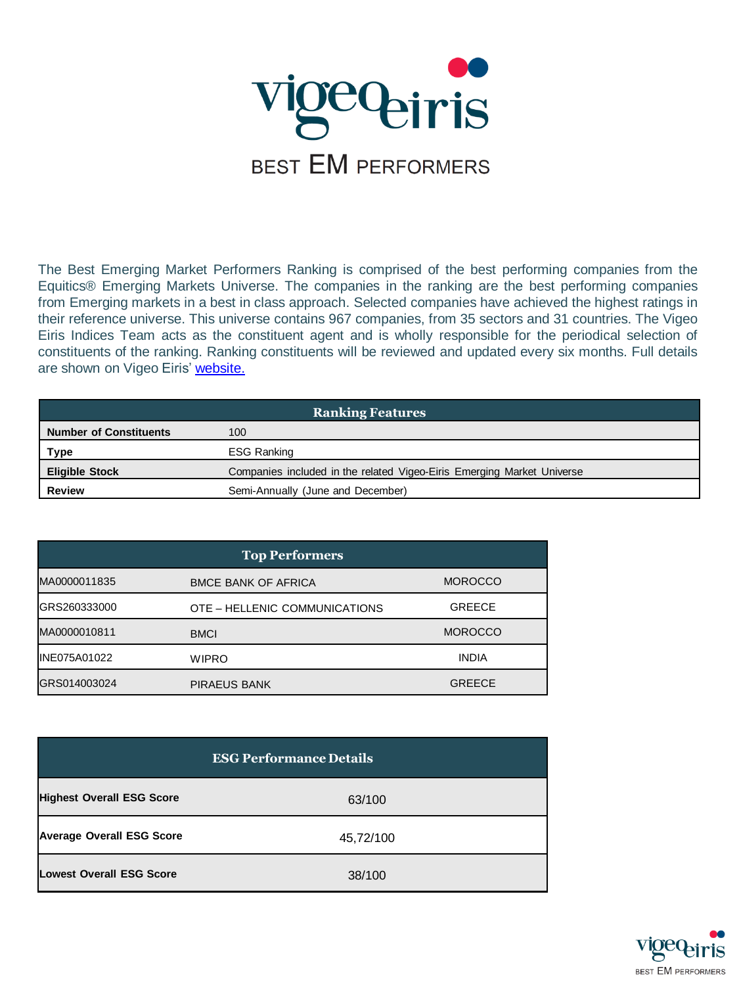

The Best Emerging Market Performers Ranking is comprised of the best performing companies from the Equitics® Emerging Markets Universe. The companies in the ranking are the best performing companies from Emerging markets in a best in class approach. Selected companies have achieved the highest ratings in their reference universe. This universe contains 967 companies, from 35 sectors and 31 countries. The Vigeo Eiris Indices Team acts as the constituent agent and is wholly responsible for the periodical selection of constituents of the ranking. Ranking constituents will be reviewed and updated every six months. Full details are shown on Vigeo Eiris' [website.](http://www.vigeo-eiris.com/solutions-for-investors/esg-indices-ranking/ranking-vigeo-eiris-emerging-70/)

| <b>Ranking Features</b>       |                                                                        |  |
|-------------------------------|------------------------------------------------------------------------|--|
| <b>Number of Constituents</b> | 100                                                                    |  |
| Type                          | ESG Ranking                                                            |  |
| <b>Eligible Stock</b>         | Companies included in the related Vigeo-Eiris Emerging Market Universe |  |
| <b>Review</b>                 | Semi-Annually (June and December)                                      |  |

| <b>Top Performers</b> |                               |                |
|-----------------------|-------------------------------|----------------|
| MA0000011835          | <b>BMCE BANK OF AFRICA</b>    | <b>MOROCCO</b> |
| IGRS260333000         | OTE - HELLENIC COMMUNICATIONS | <b>GREECE</b>  |
| MA0000010811          | <b>BMCI</b>                   | <b>MOROCCO</b> |
| <b>IINE075A01022</b>  | <b>WIPRO</b>                  | <b>INDIA</b>   |
| GRS014003024          | <b>PIRAEUS BANK</b>           | <b>GREECE</b>  |

| <b>ESG Performance Details</b>   |           |  |
|----------------------------------|-----------|--|
| <b>Highest Overall ESG Score</b> | 63/100    |  |
| <b>Average Overall ESG Score</b> | 45,72/100 |  |
| <b>Lowest Overall ESG Score</b>  | 38/100    |  |

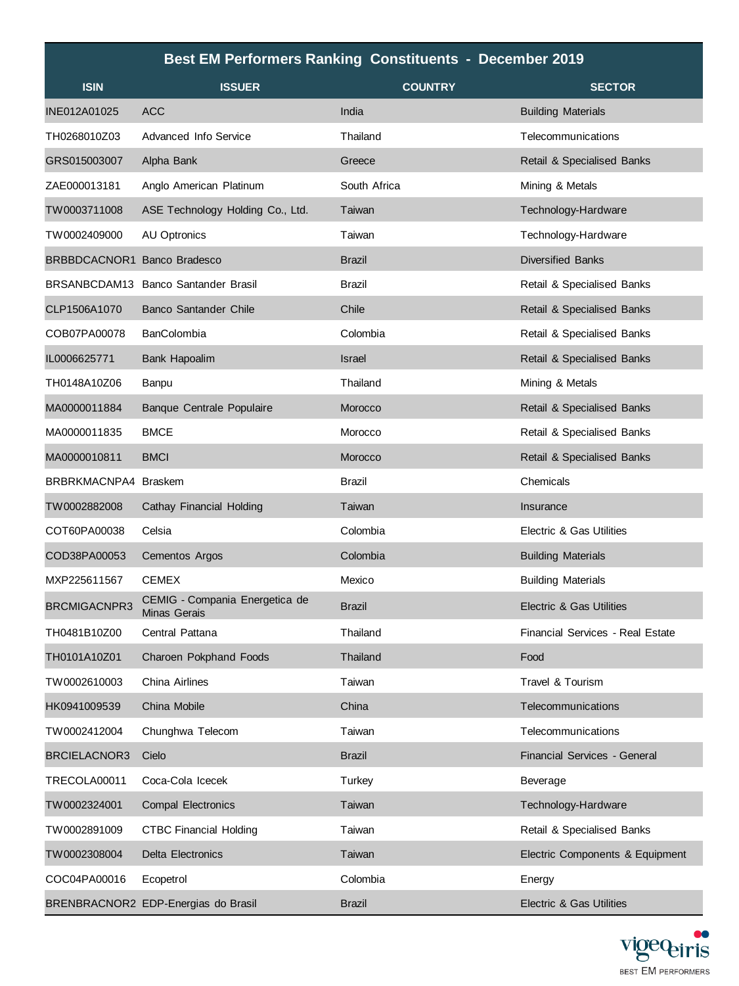| <b>Best EM Performers Ranking Constituents - December 2019</b> |                                                       |                |                                     |
|----------------------------------------------------------------|-------------------------------------------------------|----------------|-------------------------------------|
| <b>ISIN</b>                                                    | <b>ISSUER</b>                                         | <b>COUNTRY</b> | <b>SECTOR</b>                       |
| INE012A01025                                                   | <b>ACC</b>                                            | India          | <b>Building Materials</b>           |
| TH0268010Z03                                                   | Advanced Info Service                                 | Thailand       | Telecommunications                  |
| GRS015003007                                                   | Alpha Bank                                            | Greece         | Retail & Specialised Banks          |
| ZAE000013181                                                   | Anglo American Platinum                               | South Africa   | Mining & Metals                     |
| TW0003711008                                                   | ASE Technology Holding Co., Ltd.                      | Taiwan         | Technology-Hardware                 |
| TW0002409000                                                   | <b>AU Optronics</b>                                   | Taiwan         | Technology-Hardware                 |
| BRBBDCACNOR1 Banco Bradesco                                    |                                                       | <b>Brazil</b>  | <b>Diversified Banks</b>            |
|                                                                | BRSANBCDAM13 Banco Santander Brasil                   | <b>Brazil</b>  | Retail & Specialised Banks          |
| CLP1506A1070                                                   | <b>Banco Santander Chile</b>                          | Chile          | Retail & Specialised Banks          |
| COB07PA00078                                                   | <b>BanColombia</b>                                    | Colombia       | Retail & Specialised Banks          |
| IL0006625771                                                   | <b>Bank Hapoalim</b>                                  | Israel         | Retail & Specialised Banks          |
| TH0148A10Z06                                                   | Banpu                                                 | Thailand       | Mining & Metals                     |
| MA0000011884                                                   | <b>Banque Centrale Populaire</b>                      | Morocco        | Retail & Specialised Banks          |
| MA0000011835                                                   | <b>BMCE</b>                                           | Morocco        | Retail & Specialised Banks          |
| MA0000010811                                                   | <b>BMCI</b>                                           | Morocco        | Retail & Specialised Banks          |
| BRBRKMACNPA4 Braskem                                           |                                                       | Brazil         | Chemicals                           |
| TW0002882008                                                   | Cathay Financial Holding                              | Taiwan         | Insurance                           |
| COT60PA00038                                                   | Celsia                                                | Colombia       | Electric & Gas Utilities            |
| COD38PA00053                                                   | Cementos Argos                                        | Colombia       | <b>Building Materials</b>           |
| MXP225611567                                                   | <b>CEMEX</b>                                          | Mexico         | <b>Building Materials</b>           |
| <b>BRCMIGACNPR3</b>                                            | CEMIG - Compania Energetica de<br><b>Minas Gerais</b> | <b>Brazil</b>  | Electric & Gas Utilities            |
| TH0481B10Z00                                                   | Central Pattana                                       | Thailand       | Financial Services - Real Estate    |
| TH0101A10Z01                                                   | Charoen Pokphand Foods                                | Thailand       | Food                                |
| TW0002610003                                                   | China Airlines                                        | Taiwan         | Travel & Tourism                    |
| HK0941009539                                                   | China Mobile                                          | China          | Telecommunications                  |
| TW0002412004                                                   | Chunghwa Telecom                                      | Taiwan         | Telecommunications                  |
| <b>BRCIELACNOR3</b>                                            | Cielo                                                 | <b>Brazil</b>  | Financial Services - General        |
| TRECOLA00011                                                   | Coca-Cola Icecek                                      | Turkey         | Beverage                            |
| TW0002324001                                                   | <b>Compal Electronics</b>                             | Taiwan         | Technology-Hardware                 |
| TW0002891009                                                   | <b>CTBC Financial Holding</b>                         | Taiwan         | Retail & Specialised Banks          |
| TW0002308004                                                   | <b>Delta Electronics</b>                              | Taiwan         | Electric Components & Equipment     |
| COC04PA00016                                                   | Ecopetrol                                             | Colombia       | Energy                              |
|                                                                | BRENBRACNOR2 EDP-Energias do Brasil                   | <b>Brazil</b>  | <b>Electric &amp; Gas Utilities</b> |

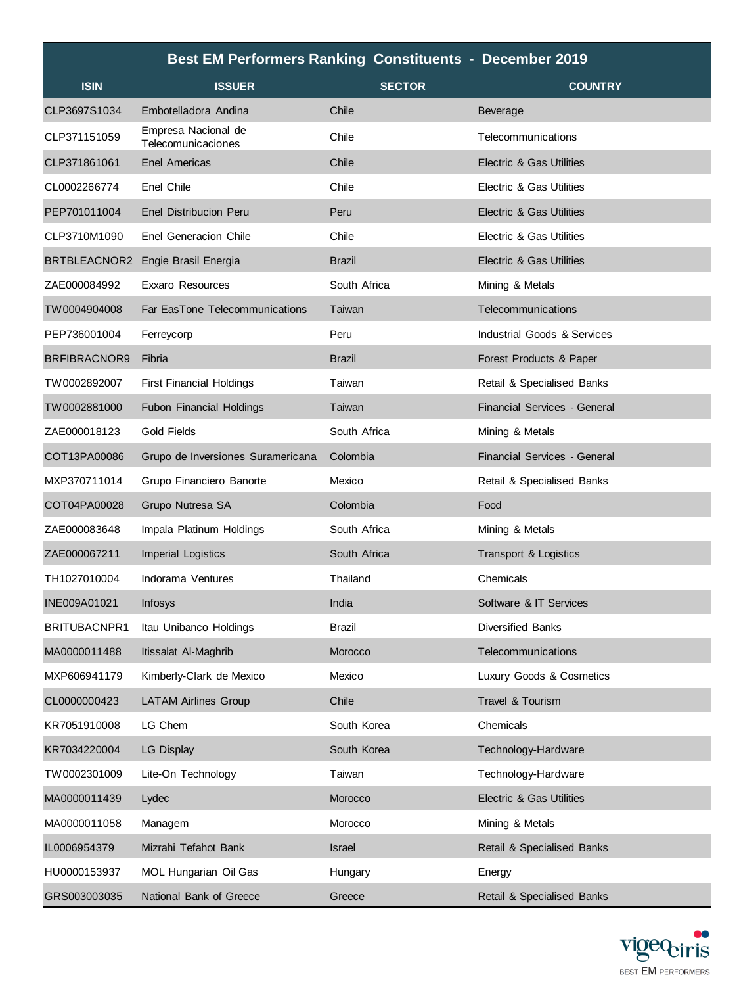| <b>Best EM Performers Ranking Constituents - December 2019</b> |                                           |               |                                     |
|----------------------------------------------------------------|-------------------------------------------|---------------|-------------------------------------|
| <b>ISIN</b>                                                    | <b>ISSUER</b>                             | <b>SECTOR</b> | <b>COUNTRY</b>                      |
| CLP3697S1034                                                   | Embotelladora Andina                      | Chile         | <b>Beverage</b>                     |
| CLP371151059                                                   | Empresa Nacional de<br>Telecomunicaciones | Chile         | Telecommunications                  |
| CLP371861061                                                   | <b>Enel Americas</b>                      | Chile         | <b>Electric &amp; Gas Utilities</b> |
| CL0002266774                                                   | Enel Chile                                | Chile         | Electric & Gas Utilities            |
| PEP701011004                                                   | <b>Enel Distribucion Peru</b>             | Peru          | Electric & Gas Utilities            |
| CLP3710M1090                                                   | <b>Enel Generacion Chile</b>              | Chile         | Electric & Gas Utilities            |
| BRTBLEACNOR2                                                   | Engie Brasil Energia                      | <b>Brazil</b> | Electric & Gas Utilities            |
| ZAE000084992                                                   | <b>Exxaro Resources</b>                   | South Africa  | Mining & Metals                     |
| TW0004904008                                                   | Far EasTone Telecommunications            | Taiwan        | Telecommunications                  |
| PEP736001004                                                   | Ferreycorp                                | Peru          | Industrial Goods & Services         |
| BRFIBRACNOR9                                                   | Fibria                                    | <b>Brazil</b> | Forest Products & Paper             |
| TW0002892007                                                   | <b>First Financial Holdings</b>           | Taiwan        | Retail & Specialised Banks          |
| TW0002881000                                                   | <b>Fubon Financial Holdings</b>           | Taiwan        | Financial Services - General        |
| ZAE000018123                                                   | Gold Fields                               | South Africa  | Mining & Metals                     |
| COT13PA00086                                                   | Grupo de Inversiones Suramericana         | Colombia      | <b>Financial Services - General</b> |
| MXP370711014                                                   | Grupo Financiero Banorte                  | Mexico        | Retail & Specialised Banks          |
| COT04PA00028                                                   | Grupo Nutresa SA                          | Colombia      | Food                                |
| ZAE000083648                                                   | Impala Platinum Holdings                  | South Africa  | Mining & Metals                     |
| ZAE000067211                                                   | <b>Imperial Logistics</b>                 | South Africa  | Transport & Logistics               |
| TH1027010004                                                   | Indorama Ventures                         | Thailand      | Chemicals                           |
| INE009A01021                                                   | Infosys                                   | India         | Software & IT Services              |
| BRITUBACNPR1                                                   | Itau Unibanco Holdings                    | Brazil        | <b>Diversified Banks</b>            |
| MA0000011488                                                   | Itissalat Al-Maghrib                      | Morocco       | Telecommunications                  |
| MXP606941179                                                   | Kimberly-Clark de Mexico                  | Mexico        | Luxury Goods & Cosmetics            |
| CL0000000423                                                   | <b>LATAM Airlines Group</b>               | Chile         | Travel & Tourism                    |
| KR7051910008                                                   | LG Chem                                   | South Korea   | Chemicals                           |
| KR7034220004                                                   | <b>LG Display</b>                         | South Korea   | Technology-Hardware                 |
| TW0002301009                                                   | Lite-On Technology                        | Taiwan        | Technology-Hardware                 |
| MA0000011439                                                   | Lydec                                     | Morocco       | Electric & Gas Utilities            |
| MA0000011058                                                   | Managem                                   | Morocco       | Mining & Metals                     |
| IL0006954379                                                   | Mizrahi Tefahot Bank                      | <b>Israel</b> | Retail & Specialised Banks          |
| HU0000153937                                                   | MOL Hungarian Oil Gas                     | Hungary       | Energy                              |
| GRS003003035                                                   | National Bank of Greece                   | Greece        | Retail & Specialised Banks          |

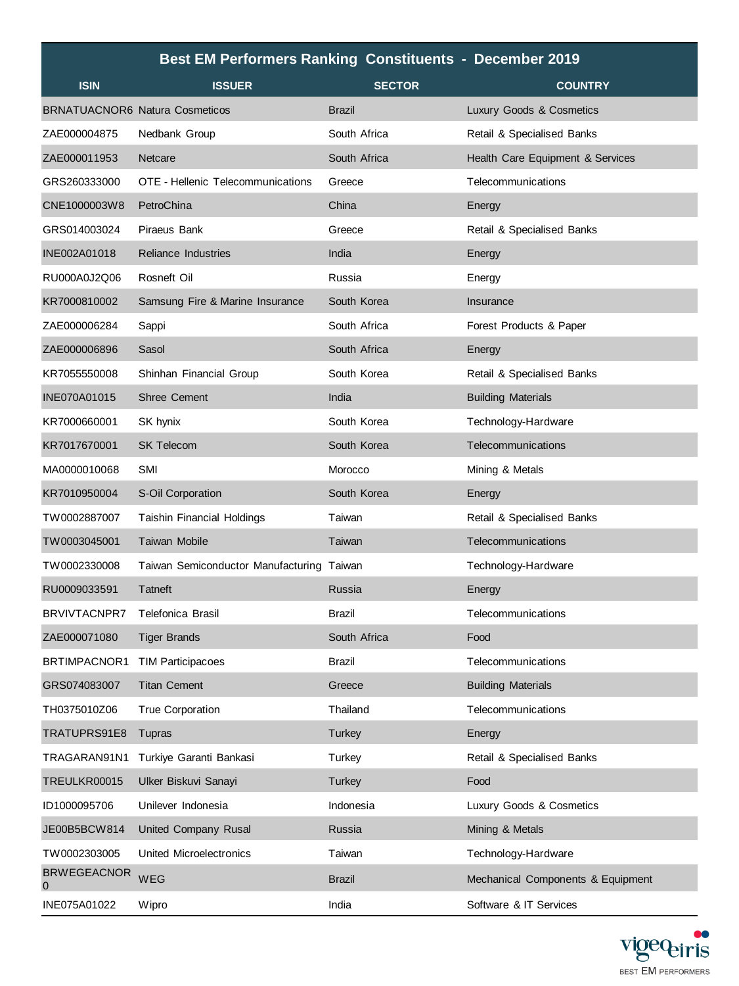|                                   | <b>Best EM Performers Ranking Constituents - December 2019</b> |               |                                   |
|-----------------------------------|----------------------------------------------------------------|---------------|-----------------------------------|
| <b>ISIN</b>                       | <b>ISSUER</b>                                                  | <b>SECTOR</b> | <b>COUNTRY</b>                    |
|                                   | <b>BRNATUACNOR6 Natura Cosmeticos</b>                          | <b>Brazil</b> | Luxury Goods & Cosmetics          |
| ZAE000004875                      | Nedbank Group                                                  | South Africa  | Retail & Specialised Banks        |
| ZAE000011953                      | Netcare                                                        | South Africa  | Health Care Equipment & Services  |
| GRS260333000                      | OTE - Hellenic Telecommunications                              | Greece        | Telecommunications                |
| CNE1000003W8                      | PetroChina                                                     | China         | Energy                            |
| GRS014003024                      | Piraeus Bank                                                   | Greece        | Retail & Specialised Banks        |
| INE002A01018                      | <b>Reliance Industries</b>                                     | India         | Energy                            |
| RU000A0J2Q06                      | Rosneft Oil                                                    | Russia        | Energy                            |
| KR7000810002                      | Samsung Fire & Marine Insurance                                | South Korea   | Insurance                         |
| ZAE000006284                      | Sappi                                                          | South Africa  | Forest Products & Paper           |
| ZAE000006896                      | Sasol                                                          | South Africa  | Energy                            |
| KR7055550008                      | Shinhan Financial Group                                        | South Korea   | Retail & Specialised Banks        |
| INE070A01015                      | <b>Shree Cement</b>                                            | India         | <b>Building Materials</b>         |
| KR7000660001                      | SK hynix                                                       | South Korea   | Technology-Hardware               |
| KR7017670001                      | <b>SK Telecom</b>                                              | South Korea   | Telecommunications                |
| MA0000010068                      | SMI                                                            | Morocco       | Mining & Metals                   |
| KR7010950004                      | S-Oil Corporation                                              | South Korea   | Energy                            |
| TW0002887007                      | <b>Taishin Financial Holdings</b>                              | Taiwan        | Retail & Specialised Banks        |
| TW0003045001                      | Taiwan Mobile                                                  | Taiwan        | Telecommunications                |
| TW0002330008                      | Taiwan Semiconductor Manufacturing                             | Taiwan        | Technology-Hardware               |
| RU0009033591                      | Tatneft                                                        | Russia        | Energy                            |
| <b>BRVIVTACNPR7</b>               | Telefonica Brasil                                              | Brazil        | Telecommunications                |
| ZAE000071080                      | <b>Tiger Brands</b>                                            | South Africa  | Food                              |
| BRTIMPACNOR1 TIM Participacoes    |                                                                | Brazil        | Telecommunications                |
| GRS074083007                      | <b>Titan Cement</b>                                            | Greece        | <b>Building Materials</b>         |
| TH0375010Z06                      | <b>True Corporation</b>                                        | Thailand      | Telecommunications                |
| TRATUPRS91E8                      | Tupras                                                         | Turkey        | Energy                            |
| TRAGARAN91N1                      | Turkiye Garanti Bankasi                                        | Turkey        | Retail & Specialised Banks        |
| TREULKR00015                      | Ulker Biskuvi Sanayi                                           | <b>Turkey</b> | Food                              |
| ID1000095706                      | Unilever Indonesia                                             | Indonesia     | Luxury Goods & Cosmetics          |
| JE00B5BCW814                      | United Company Rusal                                           | Russia        | Mining & Metals                   |
| TW0002303005                      | United Microelectronics                                        | Taiwan        | Technology-Hardware               |
| <b>BRWEGEACNOR</b><br>$\mathbf 0$ | WEG                                                            | <b>Brazil</b> | Mechanical Components & Equipment |
| INE075A01022                      | Wipro                                                          | India         | Software & IT Services            |